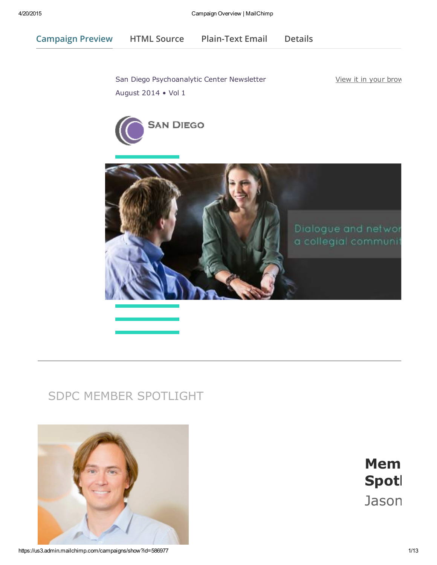Campaign Preview HTML Source [Plain-Text](javascript:;) Email Details

San Diego [Psychoanalytic](https://us3.admin.mailchimp.com/account/profile/) Center Newsletter August 2014 • Vol 1

View it in your brow





## SDPC MEMBER SPOTLIGHT



**Mem** Spotl Jason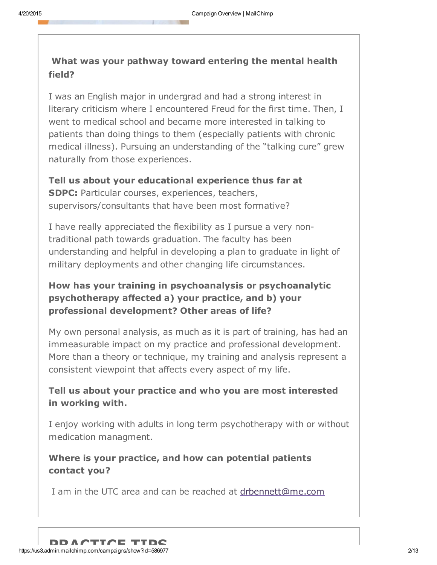### What was your pathway toward entering the mental health field?

I was an English major in undergrad and had a strong interest in literary criticism where I encountered Freud for the first time. Then, I went to medical school and became more interested in talking to patients than doing things to them (especially patients with chronic medical illness). Pursuing an understanding of the "talking cure" grew naturally from those experiences.

Tell us about your educational experience thus far at SDPC: Particular courses, experiences, teachers, supervisors/consultants that have been most formative?

I have really appreciated the flexibility as I pursue a very nontraditional path towards graduation. The faculty has been understanding and helpful in developing a plan to graduate in light of military deployments and other changing life circumstances.

### How has your training in psychoanalysis or psychoanalytic psychotherapy affected a) your practice, and b) your professional development? Other areas of life?

My own personal analysis, as much as it is part of training, has had an immeasurable impact on my practice and professional development. More than a theory or technique, my training and analysis represent a consistent viewpoint that affects every aspect of my life.

### Tell us about your practice and who you are most interested in working with.

I enjoy working with adults in long term psychotherapy with or without medication managment.

### Where is your practice, and how can potential [patients](mailto:drbennett@me.com?subject=Inquiry%20from%20SDPC%20Spotlight) contact you?

I am in the UTC area and can be reached at drbennett@me.com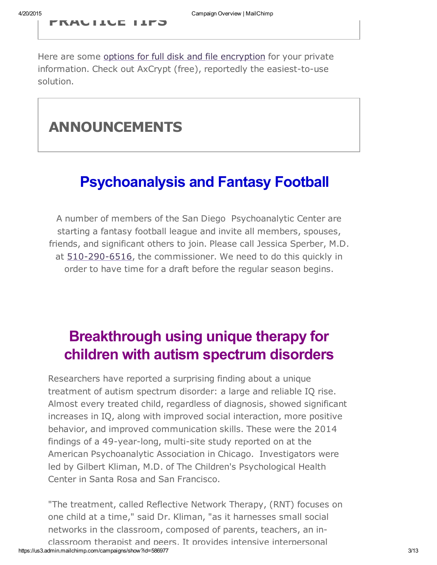PRACTICE TIPS

Here are some options for full disk and file encryption for your private information. Check out AxCrypt (free), reportedly the easiest-to-use solution.

## ANNOUNCEMENTS

# Psychoanalysis and Fantasy Football

A [number](tel:510-290-6516) of members of the San Diego Psychoanalytic Center are starting a fantasy football league and invite all members, spouses, friends, and significant others to join. Please call Jessica Sperber, M.D. at  $510-290-6516$ , the commissioner. We need to do this quickly in order to have time for a draft before the regular season begins.

# Breakthrough using unique therapy for children with autism spectrum disorders

Researchers have reported a surprising finding about a unique treatment of autism spectrum disorder: a large and reliable IQ rise. Almost every treated child, regardless of diagnosis, showed significant increases in IQ, along with improved social interaction, more positive behavior, and improved communication skills. These were the 2014 findings of a 49-year-long, multi-site study reported on at the American Psychoanalytic Association in Chicago. Investigators were led by Gilbert Kliman, M.D. of The Children's Psychological Health Center in Santa Rosa and San Francisco.

https://us3.admin.mailchimp.com/campaigns/show?id=586977 3/13 "The treatment, called Reflective Network Therapy, (RNT) focuses on one child at a time," said Dr. Kliman, "as it harnesses small social networks in the classroom, composed of parents, teachers, an inclassroom therapist and peers. It provides intensive interpersonal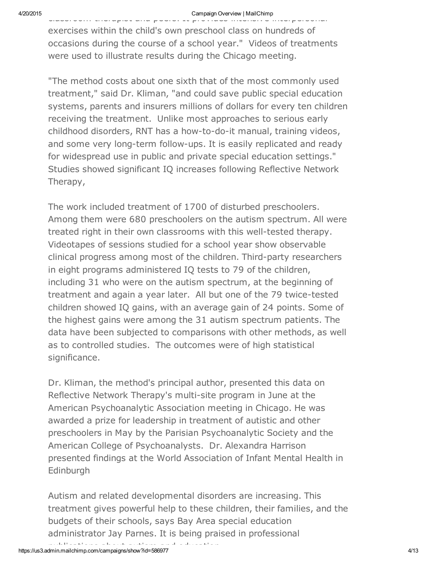#### 4/20/2015 Campaign Overview | MailChimp

classroom therapist and peers. It provides intensive interpersonal exercises within the child's own preschool class on hundreds of occasions during the course of a school year." Videos of treatments were used to illustrate results during the Chicago meeting.

"The method costs about one sixth that of the most commonly used treatment," said Dr. Kliman, "and could save public special education systems, parents and insurers millions of dollars for every ten children receiving the treatment. Unlike most approaches to serious early childhood disorders, RNT has a how-to-do-it manual, training videos, and some very long-term follow-ups. It is easily replicated and ready for widespread use in public and private special education settings." Studies showed significant IQ increases following Reflective Network Therapy,

The work included treatment of 1700 of disturbed preschoolers. Among them were 680 preschoolers on the autism spectrum. All were treated right in their own classrooms with this well-tested therapy. Videotapes of sessions studied for a school year show observable clinical progress among most of the children. Third-party researchers in eight programs administered IQ tests to 79 of the children, including 31 who were on the autism spectrum, at the beginning of treatment and again a year later. All but one of the 79 twice-tested children showed IQ gains, with an average gain of 24 points. Some of the highest gains were among the 31 autism spectrum patients. The data have been subjected to comparisons with other methods, as well as to controlled studies. The outcomes were of high statistical significance.

Dr. Kliman, the method's principal author, presented this data on Reflective Network Therapy's multi-site program in June at the American Psychoanalytic Association meeting in Chicago. He was awarded a prize for leadership in treatment of autistic and other preschoolers in May by the Parisian Psychoanalytic Society and the American College of Psychoanalysts. Dr. Alexandra Harrison presented findings at the World Association of Infant Mental Health in Edinburgh

Autism and related developmental disorders are increasing. This treatment gives powerful help to these children, their families, and the budgets of their schools, says Bay Area special education administrator Jay Parnes. It is being praised in professional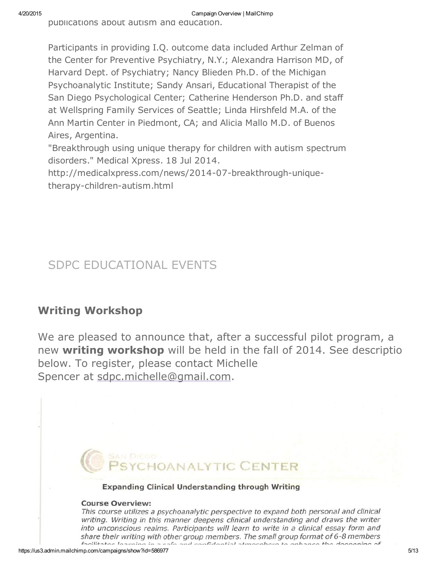publications about autism and education.

Participants in providing I.Q. outcome data included Arthur Zelman of the Center for Preventive Psychiatry, N.Y.; Alexandra Harrison MD, of Harvard Dept. of Psychiatry; Nancy Blieden Ph.D. of the Michigan Psychoanalytic Institute; Sandy Ansari, Educational Therapist of the San Diego Psychological Center; Catherine Henderson Ph.D. and staff at Wellspring Family Services of Seattle; Linda Hirshfeld M.A. of the Ann Martin Center in Piedmont, CA; and Alicia Mallo M.D. of Buenos Aires, Argentina.

"Breakthrough using unique therapy for children with autism spectrum disorders." Medical Xpress. 18 Jul 2014.

http://medicalxpress.com/news/2014-07-breakthrough-uniquetherapy-children-autism.html

# SDPC EDUCATIONAL EVENTS

## Writing Workshop

We are pleased to [announce](mailto:sdpc.michelle@gmail.com) that, after a successful pilot program, a new writing workshop will be held in the fall of 2014. See description below. To register, please contact Michelle Spencer at sdpc.michelle@gmail.com.

# *INALYTIC CENTER*

#### **Expanding Clinical Understanding through Writing**

#### **Course Overview:**

This course utilizes a psychoanalytic perspective to expand both personal and clinical writing. Writing in this manner deepens clinical understanding and draws the writer into unconscious realms. Participants will learn to write in a clinical essay form and share their writing with other group members. The small group format of  $6$ -8 members facilitates learning in a safe and confidential atmosphere to enhance the deepening of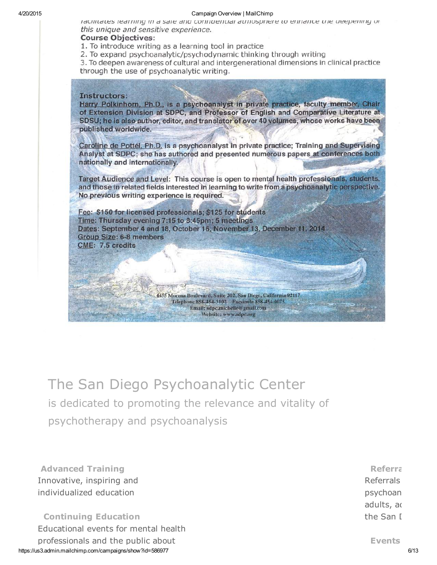#### 4/20/2015 Campaign Overview | MailChimp

racilitates rearring in a safe and computing atmosphere to enhance the deepening or this unique and sensitive experience.

#### **Course Objectives:**

1. To introduce writing as a learning tool in practice

2. To expand psychoanalytic/psychodynamic thinking through writing

3. To deepen awareness of cultural and intergenerational dimensions in clinical practice through the use of psychoanalytic writing.

#### Instructors:

Harry Polkinhorn, Ph.D., is a psychoanalyst in private practice, faculty member, Chair of Extension Division at SDPC, and Professor of English and Comparative Literature at SDSU; he is also author, editor, and translator of over 40 volumes, whose works have been published worldwide.

Caroline de Pottél, Ph.D. is a psychoanalyst in private practice; Training and Supervising Analyst at SDPC; she has authored and presented numerous papers at conferences both nationally and internationally.

Target Audience and Level: This course is open to mental health professionals, students, and those in related fields interested in learning to write from a psychoanalytic perspective. No previous writing experience is required.

> 4455 Morena Boulevard, Suite 202, San Diego, California 92117 Telephone 858-454-3102 Facsimile 858-454-0075 Email: sdpc.michelle@gmail.com

Fee: \$150 for licensed professionals; \$125 for students Time: Thursday evening 7:15 to 8:45pm; 5 meetings Dates: September 4 and 18, October 16, November 13, December 11, 2014 **Group Size: 6-8 members CME: 7.5 credits** 

Website: www.sdpc.org

The San Diego Psychoanalytic Center is dedicated to promoting the relevance and vitality of psychotherapy and psychoanalysis

Advanced Training Innovative, inspiring and individualized education

https://us3.admin.mailchimp.com/campaigns/show?id=586977 6/13 Continuing Education Educational events for mental health professionals and the public about

**Referral Referrals** psychoan adults, ad the San D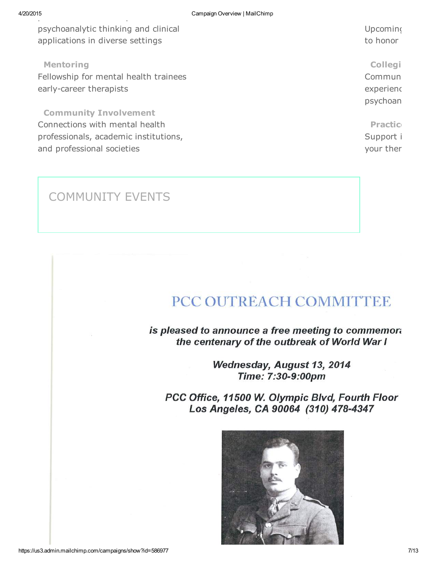psychoanalytic thinking and clinical applications in diverse settings

Mentoring

Fellowship for mental health trainees early-career therapists

Community Involvement Connections with mental health professionals, academic institutions, and professional societies

to honor Collegi

Upcoming

Commun experiend psychoan

Practice Support i your ther

## COMMUNITY EVENTS

# PCC OUTREACH COMMITTEE

is pleased to announce a free meeting to commemora the centenary of the outbreak of World War I

> Wednesday, August 13, 2014 Time: 7:30-9:00pm

PCC Office, 11500 W. Olympic Blvd, Fourth Floor Los Angeles, CA 90064 (310) 478-4347

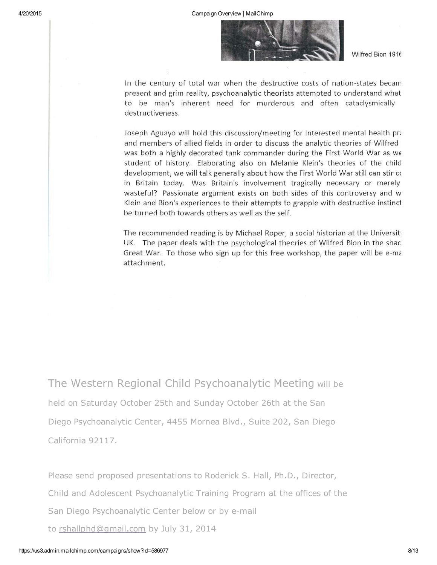

Wilfred Bion 1916

In the century of total war when the destructive costs of nation-states becam present and grim reality, psychoanalytic theorists attempted to understand what to be man's inherent need for murderous and often cataclysmically destructiveness.

Joseph Aguayo will hold this discussion/meeting for interested mental health pra and members of allied fields in order to discuss the analytic theories of Wilfred was both a highly decorated tank commander during the First World War as we student of history. Elaborating also on Melanie Klein's theories of the child development, we will talk generally about how the First World War still can stir co in Britain today. Was Britain's involvement tragically necessary or merely wasteful? Passionate argument exists on both sides of this controversy and w Klein and Bion's experiences to their attempts to grapple with destructive instinct be turned both towards others as well as the self.

The recommended reading is by Michael Roper, a social historian at the University UK. The paper deals with the psychological theories of Wilfred Bion in the shad Great War. To those who sign up for this free workshop, the paper will be e-ma attachment.

The Western Regional Child Psychoanalytic Meeting will be held on Saturday October 25th and Sunday October 26th at the San Diego Psychoanalytic Center, 4455 Mornea Blvd., Suite 202, San Diego California 92117.

Please send proposed presentations to Roderick S. Hall, Ph.D., Director, Child and [Adolescent](mailto:rshallphd@gmail.com) Psychoanalytic Training Program at the offices of the San Diego Psychoanalytic Center below or by e-mail to **rshallphd@gmail.com** by July 31, 2014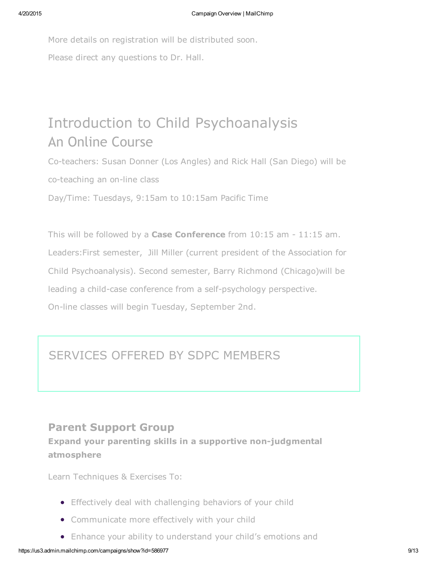More details on registration will be distributed soon. Please direct any questions to Dr. Hall.

# Introduction to Child Psychoanalysis An Online Course

Co-teachers: Susan Donner (Los Angles) and Rick Hall (San Diego) will be co-teaching an on-line class

Day/Time: Tuesdays, 9:15am to 10:15am Pacific Time

This will be followed by a **Case Conference** from  $10:15$  am  $-11:15$  am. Leaders:First semester, Jill Miller (current president of the Association for Child Psychoanalysis). Second semester, Barry Richmond (Chicago)will be leading a child-case conference from a self-psychology perspective. On-line classes will begin Tuesday, September 2nd.

# SERVICES OFFERED BY SDPC MEMBERS

## Parent Support Group

Expand your parenting skills in a supportive non-judgmental atmosphere

Learn Techniques & Exercises To:

- **•** Effectively deal with challenging behaviors of your child
- Communicate more effectively with your child
- Enhance your ability to understand your child's emotions and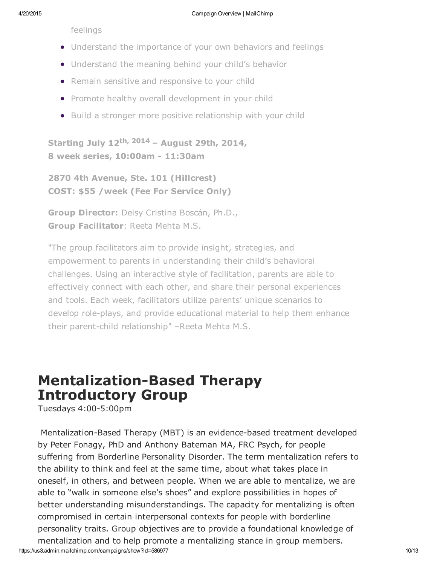feelings

- Understand the importance of your own behaviors and feelings
- Understand the meaning behind your child's behavior
- Remain sensitive and responsive to your child
- Promote healthy overall development in your child
- Build a stronger more positive relationship with your child

Starting July 12<sup>th, 2014</sup> – August 29th, 2014, 8 week series, 10:00am - 11:30am

2870 4th Avenue, Ste. 101 (Hillcrest) COST: \$55 /week (Fee For Service Only)

Group Director: Deisy Cristina Boscán, Ph.D., Group Facilitator: Reeta Mehta M.S.

"The group facilitators aim to provide insight, strategies, and empowerment to parents in understanding their child's behavioral challenges. Using an interactive style of facilitation, parents are able to effectively connect with each other, and share their personal experiences and tools. Each week, facilitators utilize parents' unique scenarios to develop role-plays, and provide educational material to help them enhance their parent-child relationship" –Reeta Mehta M.S.

# **Mentalization-Based Therapy** Introductory Group

Tuesdays  $4:00-5:00$ pm

https://us3.admin.mailchimp.com/campaigns/show?id=586977 10/13 Mentalization-Based Therapy (MBT) is an evidence-based treatment developed by Peter Fonagy, PhD and Anthony Bateman MA, FRC Psych, for people suffering from Borderline Personality Disorder. The term mentalization refers to the ability to think and feel at the same time, about what takes place in oneself, in others, and between people. When we are able to mentalize, we are able to "walk in someone else's shoes" and explore possibilities in hopes of better understanding misunderstandings. The capacity for mentalizing is often compromised in certain interpersonal contexts for people with borderline personality traits. Group objectives are to provide a foundational knowledge of mentalization and to help promote a mentalizing stance in group members.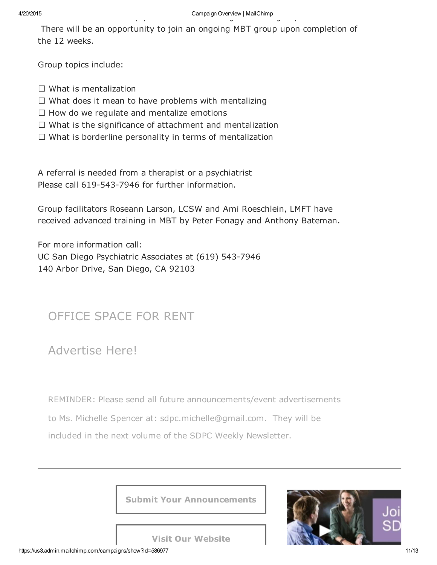There will be an opportunity to join an ongoing MBT group upon completion of the 12 weeks.

Group topics include:

- $\Box$  What is mentalization
- $\Box$  What does it mean to have problems with mentalizing
- $\Box$  How do we regulate and mentalize emotions
- $\Box$  What is the significance of attachment and mentalization
- $\Box$  What is borderline personality in terms of mentalization

A referral is needed from a therapist or a psychiatrist Please call 619-543-7946 for further information.

Group facilitators Roseann Larson, LCSW and Ami Roeschlein, LMFT have received advanced training in MBT by Peter Fonagy and Anthony Bateman.

For more information call: UC San Diego Psychiatric Associates at (619) 543-7946 140 Arbor Drive, San Diego, CA 92103

## OFFICE SPACE FOR RENT

Advertise Here!

REMINDER: Please send all future announcements/event advertisements

to Ms. Michelle Spencer at: sdpc.michelle@gmail.com. They will be included in the next volume of the SDPC Weekly Newsletter.

Submit Your [Announc](http://www.sdpsychoanalyticcenter.org/)ements



Visit Our [Website](http://www.sdpsychoanalyticcenter.org/donate-now)